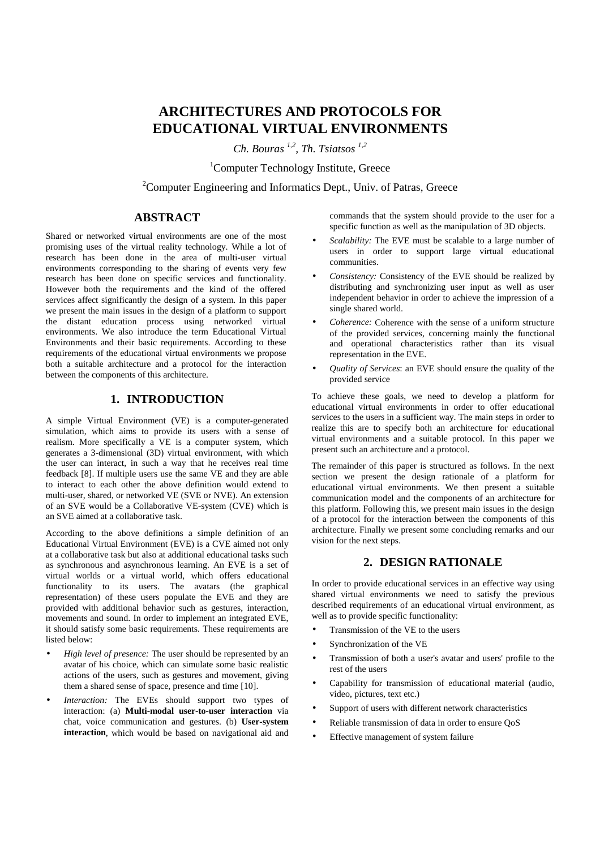# **ARCHITECTURES AND PROTOCOLS FOR EDUCATIONAL VIRTUAL ENVIRONMENTS**

*Ch. Bouras 1,2, Th. Tsiatsos 1,2*

<sup>1</sup>Computer Technology Institute, Greece

<sup>2</sup> Computer Engineering and Informatics Dept., Univ. of Patras, Greece

## **ABSTRACT**

Shared or networked virtual environments are one of the most promising uses of the virtual reality technology. While a lot of research has been done in the area of multi-user virtual environments corresponding to the sharing of events very few research has been done on specific services and functionality. However both the requirements and the kind of the offered services affect significantly the design of a system. In this paper we present the main issues in the design of a platform to support the distant education process using networked virtual environments. We also introduce the term Educational Virtual Environments and their basic requirements. According to these requirements of the educational virtual environments we propose both a suitable architecture and a protocol for the interaction between the components of this architecture.

#### **1. INTRODUCTION**

A simple Virtual Environment (VE) is a computer-generated simulation, which aims to provide its users with a sense of realism. More specifically a VE is a computer system, which generates a 3-dimensional (3D) virtual environment, with which the user can interact, in such a way that he receives real time feedback [8]. If multiple users use the same VE and they are able to interact to each other the above definition would extend to multi-user, shared, or networked VE (SVE or NVE). An extension of an SVE would be a Collaborative VE-system (CVE) which is an SVE aimed at a collaborative task.

According to the above definitions a simple definition of an Educational Virtual Environment (EVE) is a CVE aimed not only at a collaborative task but also at additional educational tasks such as synchronous and asynchronous learning. An EVE is a set of virtual worlds or a virtual world, which offers educational functionality to its users. The avatars (the graphical representation) of these users populate the EVE and they are provided with additional behavior such as gestures, interaction, movements and sound. In order to implement an integrated EVE, it should satisfy some basic requirements. These requirements are listed below:

- *High level of presence:* The user should be represented by an avatar of his choice, which can simulate some basic realistic actions of the users, such as gestures and movement, giving them a shared sense of space, presence and time [10].
- *Interaction:* The EVEs should support two types of interaction: (a) **Multi-modal user-to-user interaction** via chat, voice communication and gestures. (b) **User-system interaction**, which would be based on navigational aid and

commands that the system should provide to the user for a specific function as well as the manipulation of 3D objects.

- Scalability: The EVE must be scalable to a large number of users in order to support large virtual educational communities.
- *Consistency:* Consistency of the EVE should be realized by distributing and synchronizing user input as well as user independent behavior in order to achieve the impression of a single shared world.
- *Coherence:* Coherence with the sense of a uniform structure of the provided services, concerning mainly the functional and operational characteristics rather than its visual representation in the EVE.
- *Quality of Services*: an EVE should ensure the quality of the provided service

To achieve these goals, we need to develop a platform for educational virtual environments in order to offer educational services to the users in a sufficient way. The main steps in order to realize this are to specify both an architecture for educational virtual environments and a suitable protocol. In this paper we present such an architecture and a protocol.

The remainder of this paper is structured as follows. In the next section we present the design rationale of a platform for educational virtual environments. We then present a suitable communication model and the components of an architecture for this platform. Following this, we present main issues in the design of a protocol for the interaction between the components of this architecture. Finally we present some concluding remarks and our vision for the next steps.

### **2. DESIGN RATIONALE**

In order to provide educational services in an effective way using shared virtual environments we need to satisfy the previous described requirements of an educational virtual environment, as well as to provide specific functionality:

- Transmission of the VE to the users
- Synchronization of the VE
- Transmission of both a user's avatar and users' profile to the rest of the users
- Capability for transmission of educational material (audio, video, pictures, text etc.)
- Support of users with different network characteristics
- Reliable transmission of data in order to ensure QoS
- Effective management of system failure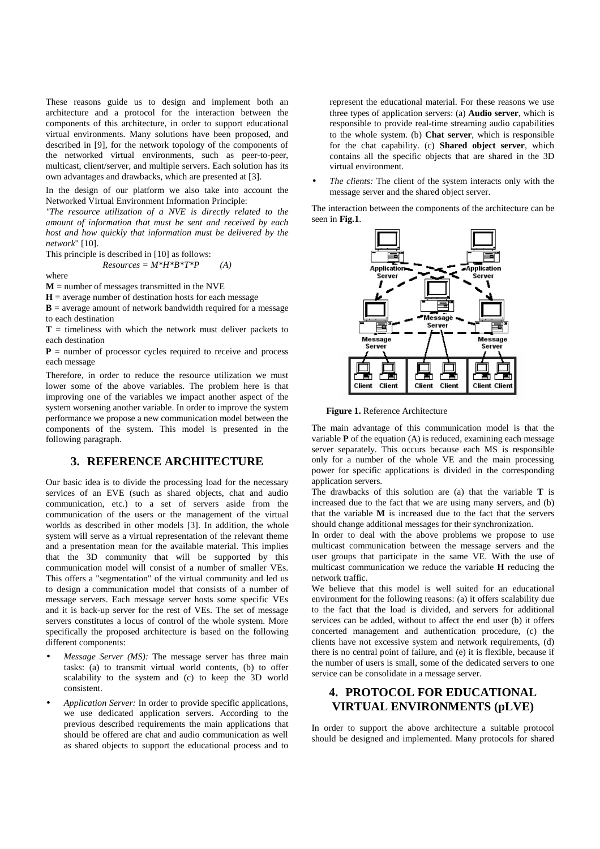These reasons guide us to design and implement both an architecture and a protocol for the interaction between the components of this architecture, in order to support educational virtual environments. Many solutions have been proposed, and described in [9], for the network topology of the components of the networked virtual environments, such as peer-to-peer, multicast, client/server, and multiple servers. Each solution has its own advantages and drawbacks, which are presented at [3].

In the design of our platform we also take into account the Networked Virtual Environment Information Principle:

*"The resource utilization of a NVE is directly related to the amount of information that must be sent and received by each host and how quickly that information must be delivered by the network*" [10].

This principle is described in [10] as follows:  $Resources = M*H*B*T*P$  (A)

where

 $M =$  number of messages transmitted in the NVE

 $H =$  average number of destination hosts for each message

 **= average amount of network bandwidth required for a message** to each destination

 $T =$  timeliness with which the network must deliver packets to each destination

 $P =$  number of processor cycles required to receive and process each message

Therefore, in order to reduce the resource utilization we must lower some of the above variables. The problem here is that improving one of the variables we impact another aspect of the system worsening another variable. In order to improve the system performance we propose a new communication model between the components of the system. This model is presented in the following paragraph.

#### **3. REFERENCE ARCHITECTURE**

Our basic idea is to divide the processing load for the necessary services of an EVE (such as shared objects, chat and audio communication, etc.) to a set of servers aside from the communication of the users or the management of the virtual worlds as described in other models [3]. In addition, the whole system will serve as a virtual representation of the relevant theme and a presentation mean for the available material. This implies that the 3D community that will be supported by this communication model will consist of a number of smaller VEs. This offers a "segmentation" of the virtual community and led us to design a communication model that consists of a number of message servers. Each message server hosts some specific VEs and it is back-up server for the rest of VEs. The set of message servers constitutes a locus of control of the whole system. More specifically the proposed architecture is based on the following different components:

- *Message Server (MS):* The message server has three main tasks: (a) to transmit virtual world contents, (b) to offer scalability to the system and (c) to keep the 3D world consistent.
- *Application Server:* In order to provide specific applications, we use dedicated application servers. According to the previous described requirements the main applications that should be offered are chat and audio communication as well as shared objects to support the educational process and to

represent the educational material. For these reasons we use three types of application servers: (a) **Audio server**, which is responsible to provide real-time streaming audio capabilities to the whole system. (b) **Chat server**, which is responsible for the chat capability. (c) **Shared object server**, which contains all the specific objects that are shared in the 3D virtual environment.

• *The clients:* The client of the system interacts only with the message server and the shared object server.

The interaction between the components of the architecture can be seen in **Fig.1**.



**Figure 1.** Reference Architecture

The main advantage of this communication model is that the variable **P** of the equation (A) is reduced, examining each message server separately. This occurs because each MS is responsible only for a number of the whole VE and the main processing power for specific applications is divided in the corresponding application servers.

The drawbacks of this solution are (a) that the variable **T** is increased due to the fact that we are using many servers, and (b) that the variable **M** is increased due to the fact that the servers should change additional messages for their synchronization.

In order to deal with the above problems we propose to use multicast communication between the message servers and the user groups that participate in the same VE. With the use of multicast communication we reduce the variable **H** reducing the network traffic.

We believe that this model is well suited for an educational environment for the following reasons: (a) it offers scalability due to the fact that the load is divided, and servers for additional services can be added, without to affect the end user (b) it offers concerted management and authentication procedure, (c) the clients have not excessive system and network requirements, (d) there is no central point of failure, and (e) it is flexible, because if the number of users is small, some of the dedicated servers to one service can be consolidate in a message server.

### **4. PROTOCOL FOR EDUCATIONAL VIRTUAL ENVIRONMENTS (pLVE)**

In order to support the above architecture a suitable protocol should be designed and implemented. Many protocols for shared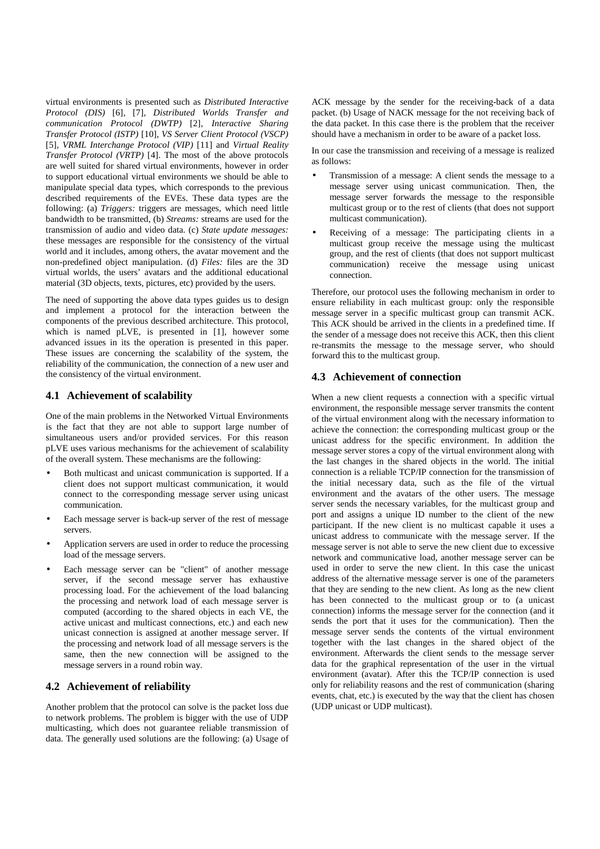virtual environments is presented such as *Distributed Interactive Protocol (DIS)* [6], [7], *Distributed Worlds Transfer and communication Protocol (DWTP)* [2], *Interactive Sharing Transfer Protocol (ISTP)* [10], *VS Server Client Protocol (VSCP)* [5], *VRML Interchange Protocol (VIP)* [11] and *Virtual Reality Transfer Protocol (VRTP)* [4]. The most of the above protocols are well suited for shared virtual environments, however in order to support educational virtual environments we should be able to manipulate special data types, which corresponds to the previous described requirements of the EVEs. These data types are the following: (a) *Triggers:* triggers are messages, which need little bandwidth to be transmitted, (b) *Streams:* streams are used for the transmission of audio and video data. (c) *State update messages:* these messages are responsible for the consistency of the virtual world and it includes, among others, the avatar movement and the non-predefined object manipulation. (d) *Files:* files are the 3D virtual worlds, the users' avatars and the additional educational material (3D objects, texts, pictures, etc) provided by the users.

The need of supporting the above data types guides us to design and implement a protocol for the interaction between the components of the previous described architecture. This protocol, which is named pLVE, is presented in [1], however some advanced issues in its the operation is presented in this paper. These issues are concerning the scalability of the system, the reliability of the communication, the connection of a new user and the consistency of the virtual environment.

#### **4.1 Achievement of scalability**

One of the main problems in the Networked Virtual Environments is the fact that they are not able to support large number of simultaneous users and/or provided services. For this reason pLVE uses various mechanisms for the achievement of scalability of the overall system. These mechanisms are the following:

- Both multicast and unicast communication is supported. If a client does not support multicast communication, it would connect to the corresponding message server using unicast communication.
- Each message server is back-up server of the rest of message servers.
- Application servers are used in order to reduce the processing load of the message servers.
- Each message server can be "client" of another message server, if the second message server has exhaustive processing load. For the achievement of the load balancing the processing and network load of each message server is computed (according to the shared objects in each VE, the active unicast and multicast connections, etc.) and each new unicast connection is assigned at another message server. If the processing and network load of all message servers is the same, then the new connection will be assigned to the message servers in a round robin way.

#### **4.2 Achievement of reliability**

Another problem that the protocol can solve is the packet loss due to network problems. The problem is bigger with the use of UDP multicasting, which does not guarantee reliable transmission of data. The generally used solutions are the following: (a) Usage of

ACK message by the sender for the receiving-back of a data packet. (b) Usage of NACK message for the not receiving back of the data packet. In this case there is the problem that the receiver should have a mechanism in order to be aware of a packet loss.

In our case the transmission and receiving of a message is realized as follows:

- Transmission of a message: A client sends the message to a message server using unicast communication. Then, the message server forwards the message to the responsible multicast group or to the rest of clients (that does not support multicast communication).
- Receiving of a message: The participating clients in a multicast group receive the message using the multicast group, and the rest of clients (that does not support multicast communication) receive the message using unicast connection.

Therefore, our protocol uses the following mechanism in order to ensure reliability in each multicast group: only the responsible message server in a specific multicast group can transmit ACK. This ACK should be arrived in the clients in a predefined time. If the sender of a message does not receive this ACK, then this client re-transmits the message to the message server, who should forward this to the multicast group.

#### **4.3 Achievement of connection**

When a new client requests a connection with a specific virtual environment, the responsible message server transmits the content of the virtual environment along with the necessary information to achieve the connection: the corresponding multicast group or the unicast address for the specific environment. In addition the message server stores a copy of the virtual environment along with the last changes in the shared objects in the world. The initial connection is a reliable TCP/IP connection for the transmission of the initial necessary data, such as the file of the virtual environment and the avatars of the other users. The message server sends the necessary variables, for the multicast group and port and assigns a unique ID number to the client of the new participant. If the new client is no multicast capable it uses a unicast address to communicate with the message server. If the message server is not able to serve the new client due to excessive network and communicative load, another message server can be used in order to serve the new client. In this case the unicast address of the alternative message server is one of the parameters that they are sending to the new client. As long as the new client has been connected to the multicast group or to (a unicast connection) informs the message server for the connection (and it sends the port that it uses for the communication). Then the message server sends the contents of the virtual environment together with the last changes in the shared object of the environment. Afterwards the client sends to the message server data for the graphical representation of the user in the virtual environment (avatar). After this the TCP/IP connection is used only for reliability reasons and the rest of communication (sharing events, chat, etc.) is executed by the way that the client has chosen (UDP unicast or UDP multicast).